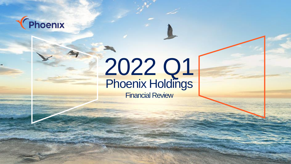

# 2022 Q1 Phoenix Holdings

Financial Review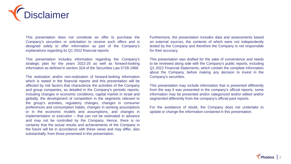

This presentation does not constitute an offer to purchase the Company's securities or solicitation to receive such offers and is designed solely to offer information as part of the Company's explanations regarding its Q1 2022 financial reports.

This presentation includes information regarding the Company's strategic plan for the years 2022-25 as well as forward-looking information as defined in section 32A of the Securities Law 5728-1968.

The realization and/or non-realization of forward-looking information which is stated in the financial reports and this presentation will be affected by risk factors that characterize the activities of the Company and group companies, as detailed in the Company's periodic reports, including changes in economic conditions, capital market in Israel and globally, the development of competition in the segments relevant to the group's activities, regulatory changes, changes in consumer preferences and consumption habits, changes in working assumptions or in the economic models and assumptions, and changes in implementation or execution – that can not be estimated in advance and may not be controlled by the Company. Hence, there is no certainty that the actual results and achievements of the Company in the future will be in accordance with these views and may differ, also substantially, from those presented in this presentation.

Furthermore, the presentation includes data and assessments based on external sources, the contents of which were not independently tested by the Company and therefore the Company is not responsible for their accuracy.

This presentation was drafted for the sake of convenience and needs to be reviewed along side with the Company's public reports, including Q1 2022 Financial Statements, which contain the complete information about the Company, before making any decision to invest in the Company's securities.

This presentation may include information that is presented differently from the way it was presented in the company's official reports, some information may be presented and/or categorized and/or edited and/or segmented differently from the company's official past reports.

For the avoidance of doubt, the Company does not undertake to update or change the information contained in this presentation.

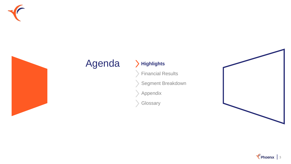



## Agenda > Highlights

Financial Results

Segment Breakdown

Appendix

Glossary



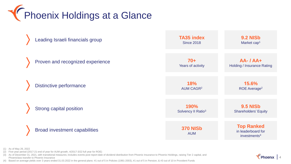**TERES** Phoenix Holdings at a Glance



 $\ell$  Phoenix  $\vert$  4

(1) As of May 26, 2022

(2) Five-year period (2017-21 end of year for AUM growth, 4/2017-3/22 full year for ROE)

(3) As of December 31, 2021, with transitional measures; includes events post report date of dividend distribution from Phoenix Insurance to Phoenix Holdings, raising Tier 2 capital, and Phoeniclass transfer to Phoenix Insurance

(4) Based on average yields over 3 years ended 31.03.2022 in the general plans: #1 out of 5 in Policies (1991-2003), #1 out of 5 in Pension, & #3 out of 10 in Provident Funds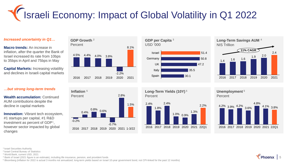# Israeli Economy: Impact of Global Volatility in Q1 2022

#### *Increased uncertainty in Q1…*

**Macro trends:** An increase in inflation, after the quarter the Bank of Israel increased its rate from 10bps to 35bps in April and 75bps in May

**Capital Markets:** Increasing volatility and declines in Israeli capital markets

#### *…but strong long-term trends*

**Wealth accumulation:** Continued AUM contributions despite the decline in capital markets

**Innovation:** Vibrant tech ecosystem, #1 startups per capital, #1 R&D investment as percent of  $GDP<sup>1</sup>$ , however sector impacted by global changes









**Long-Term Yields (10Y) <sup>5</sup>** Percent



2016 2017 2018 2019 2020 2021 22Q1

2.2%

**Unemployment <sup>5</sup>** Percent



<sup>1</sup> Israel Securities Authority

<sup>2</sup>Israel Central Bureau of Statistics

<sup>3</sup> World Bank, current USD, 2021

<sup>4</sup> Bank of Israel (2021 figure is an estimate), including life insurance, pension, and provident funds

<sup>5</sup> Bloomberg (inflation for 2022 is actual 3 months not annualized; long-term yields based on Israel 10-year government bond, not CPI-linked for the past 12 months)

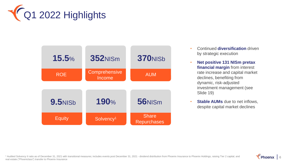

| 15.5%          | <b>352NISM</b>          | <b>370NISb</b>                     |
|----------------|-------------------------|------------------------------------|
| <b>ROE</b>     | Comprehensive<br>Income | <b>AUM</b>                         |
| <b>9.5NISb</b> | 190%                    | 56NISm                             |
| <b>Equity</b>  | Solvency <sup>1</sup>   | <b>Share</b><br><b>Repurchases</b> |

- Continued **diversification** driven by strategic execution
- **Net positive 131 NISm pretax financial margin** from interest rate increase and capital market declines, benefiting from dynamic, risk-adjusted investment management (see Slide 19)
- **Stable AUMs** due to net inflows, despite capital market declines

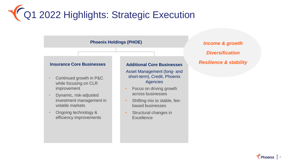# Q1 2022 Highlights: Strategic Execution

### **Phoenix Holdings (PHOE)** *Income & growth*

#### **Insurance Core Businesses**

- Continued growth in P&C while focusing on CLR improvement
- Dynamic, risk-adjusted investment management in volatile markets
- Ongoing technology & efficiency improvements

#### **Additional Core Businesses**

Asset Management (long- and short-term), Credit, Phoenix **Agencies** 

- Focus on driving growth across businesses
- Shifting mix to stable, feebased businesses
- Structural changes in **Excellence**

## *Diversification Resilience & stability*

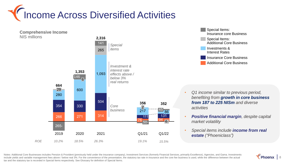





- *Q1 income similar to previous period, benefiting from growth in core business from 187 to 225 NISm and diverse activities*
- *Positive financial margin, despite capital market volatility*
- *Special items include income from real estate ("Phoeniclass")*

Notes: Additional Core Businesses includes Pension & Provident (previously held under the insurance company), Investment Services (formerly Financial Services, primarily Excellence), Agencies, and Gama. Investments include yields and variable management fees above / below real 3%. For the convenience of the presentation, the statutory tax rate in insurance and the core fee business is used, while the difference between the actual tax and the statutory tax is recorded in Special Items respectively. See Glossary for definition of Special Items.

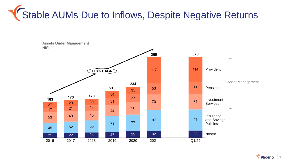

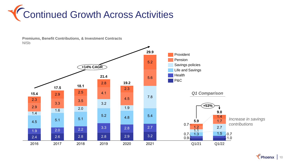



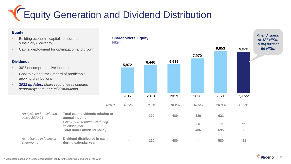Equity Generation and Dividend Distribution

#### **Equity**

- Building economic capital in insurance subsidiary (Solvency)
- Capital deployment for optimization and grow

#### **Dividends**

• 30% of comprehensive income

*Analysis under dividend* 

*As reflected in financial* 

*policy 2020-21*

*statements*

- Goal to extend track record of predictable, growing distributions
- *2022 updates: share repurchases counted separately; semi-annual distributions*

| n insurance                                              | <b>NISm</b> | <b>Shareholders' Equity</b> |       |       |          |       |       | <b>After dividend</b><br>of 421 NISm<br>& buyback of |
|----------------------------------------------------------|-------------|-----------------------------|-------|-------|----------|-------|-------|------------------------------------------------------|
| mization and growth                                      |             |                             |       |       |          | 9,653 | 9,536 | 56 NISm                                              |
|                                                          |             | 5,872                       | 6,446 | 6,636 | 7,970    |       |       |                                                      |
| ome                                                      |             |                             |       |       |          |       |       |                                                      |
| of predictable,                                          |             |                             |       |       |          |       |       |                                                      |
| rchases counted<br><i>stributions</i>                    |             |                             |       |       |          |       |       |                                                      |
|                                                          |             | 2017                        | 2018  | 2019  | 2020     | 2021  | Q1/22 |                                                      |
|                                                          | ROE*        | 16.5%                       | 8.3%  | 10.2% | 18.5%    | 26.3% | 15.5% |                                                      |
| <b>Total cash dividends relating to</b><br>annual income |             | $\blacksquare$              | 120   | 480   | 380      | 621   |       |                                                      |
| Plus: Share repurchase during<br>calendar year           |             |                             |       |       | 26       | 74    | 56    |                                                      |
| <b>Total under dividend policy</b>                       |             |                             |       |       | 406      | 695   | 56    |                                                      |
| Dividend distributed in cash<br>during calendar year     |             |                             | 120   | 480   | $\equiv$ | 580   | 421   |                                                      |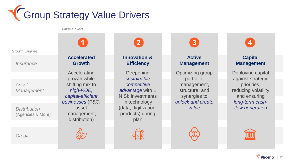

*Value Drivers*

*Growth Engines*

*Insurance*

*Asset Management*

*Distribution (Agencies & More)*

*Credit*

**Accelerated Growth**

Accelerating growth while shifting mix to *high-ROE, capital-efficient businesses* (P&C, asset management, distribution)



**Innovation & Efficiency**

Deepening *sustainable competitive advantage* with 1 NISb investments in technology (data, digitization, products) during plan

**Active Management**

Optimizing group portfolio, management, structure, and synergies to *unlock and create value*





**Capital Management**

Deploying capital against strategic priorities, reducing volatility and ensuring *long-term cashflow generation*

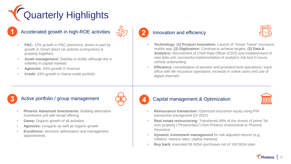# Quarterly Highlights

### **1** Accelerated growth in high-ROE activities **2** Innovation and efficiency



- **P&C:** 12% growth in P&C premiums, driven in part by growth in Smart direct car policies (compulsory & property together)
- **Asset management:** Stability in AUMs although the in volatility in capital markets
- **Agencies:** 34% growth in revenue
- **Credit:** 63% growth in Gama credit portfolio



- **Technology: (1) Product innovation:** Launch of "Smart Travel" insurance mobile app; **(2) Digitization:** Continue to achieve targets; **(3) Data & Analytics:** Recruitment of Chief Data Officer (CDO) and establishment of new data unit; successful implementation of analytics risk tool in luxury vehicle underwriting
- **Efficiency:** consolidation of pension and provident fund operations / back office with life insurance operations; increase in online users and use of digital channels

### **3** Active portfolio / group management **4** Capital management & Optimization



- **Phoenix Advanced Investments: Building alternative** investment unit with broad offering
- **Gama:** Organic growth of all activities
- **Agencies:** inorganic as well as organic growth
- **Excellence:** structure optimization and management appointments





- **Reinsurance transaction:** Optimized insurance equity using PHI transaction (recognized Q4 2021)
- **Real estate restructuring:** Transferred 49% of the shares of prime Tel Aviv property ("Phoeniclass") from Phoenix Investments to Phoenix **Insurance**
- **Dynamic investment management** for risk-adjusted returns (e.g., inflation, interest rates, capital markets)
- **Buy back:** executed 56 NISm purchases out of 100 NISm plan

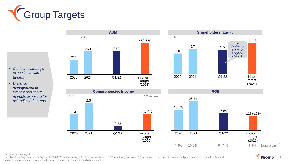





- *Continued strategic execution toward targets*
- *Dynamic management of interest and capital markets exposure for risk-adjusted returns*





(1) Nominal nostro yields

Note: Mid-term Targets based on 5-year plan 2020-25 and assuming 3% return on investments. ROE target range assumes 3-5% return on Nostro investments. Actual performance will depend on financial markets, macroeconomic growth, industry trends, company performance and other variables

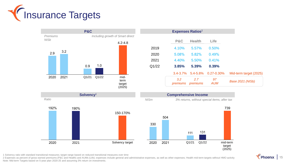

|          |      | <b>P&amp;C</b>        |       |                                                                                                         |             | <b>Expenses Ratios</b> <sup>2</sup> |                 |                                              |                         |
|----------|------|-----------------------|-------|---------------------------------------------------------------------------------------------------------|-------------|-------------------------------------|-----------------|----------------------------------------------|-------------------------|
| Premiums |      |                       |       | Including growth of Smart direct                                                                        |             |                                     |                 |                                              |                         |
| NISb     |      |                       |       | $4.2 - 4.8$                                                                                             |             | P&C                                 | <b>Health</b>   | Life                                         |                         |
|          |      |                       |       |                                                                                                         | 2019        | 4.10%                               | 5.57%           | 0.50%                                        |                         |
| 2.9      | 3.2  |                       |       |                                                                                                         | 2020        | 5.08%                               | 5.82%           | 0.49%                                        |                         |
|          |      |                       |       |                                                                                                         | 2021        | 4.40%                               | 5.50%           | 0.41%                                        |                         |
|          |      | 0.9                   | 1.0   |                                                                                                         | Q1/22       | 3.85%                               | 5.39%           | 0.39%                                        |                         |
|          |      |                       |       |                                                                                                         |             | $3.4 - 3.7%$                        | 5.4-5.8%        | $0.27 - 0.30\%$                              | Mid-term target (2025)  |
| 2020     | 2021 | Q1/21                 | Q1/22 | mid-<br>term<br>target<br>(2025)                                                                        |             | 3.2<br>premiums                     | 2.7<br>premiums | 97<br><b>AUM</b>                             | <b>Base 2021 (NISb)</b> |
|          |      | Solvency <sup>1</sup> |       |                                                                                                         |             | <b>Comprehensive Income</b>         |                 |                                              |                         |
| Ratio    |      |                       |       |                                                                                                         | <b>NISm</b> |                                     |                 | 3% returns, without special items, after tax |                         |
| 192%     |      | 190%                  |       | $\mathbf{1}$ $\mathbf{2}$ $\mathbf{3}$ $\mathbf{3}$ $\mathbf{4}$ $\mathbf{5}$ $\mathbf{5}$ $\mathbf{6}$ |             |                                     |                 |                                              | 739                     |



1 Solvency ratio with standard transitional measures; target range based on reduced transitional measures over time

2 Expenses as percent of gross earned premiums (P&C and Health) and AUMs (Life); expenses include general and administrative expenses, as well as other expenses; Health mid-term targets without HMO activity Note: Mid-term Targets based on 5-year plan 2020-25 and assuming 3% return on investments.

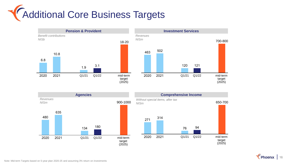









 $\sqrt{\frac{1}{6}}$  Phoenix | 16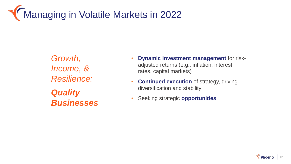# **Managing in Volatile Markets in 2022**

*Growth, Income, & Resilience: Quality Businesses*

- **Dynamic investment management** for riskadjusted returns (e.g., inflation, interest rates, capital markets)
- **Continued execution** of strategy, driving diversification and stability
- Seeking strategic **opportunities**

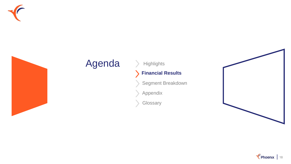



## Agenda > Highlights

#### **Financial Results**  $\sum$

Segment Breakdown

Appendix

**Glossary** 



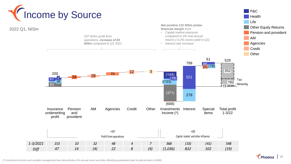

(\*) Investment income and variable management fees above/below 3% annual return and after offsetting guaranteed yield to policyholders (248M)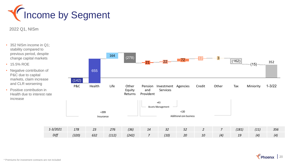

2022 Q1, NISm

- 352 NISm income in Q1; stability compared to previous period, despite change capital markets
- 15.5% ROE
- Negative contribution of P&C due to capital markets, claim increase and CLR worsening
- Positive contribution in Health due to interest rate increase

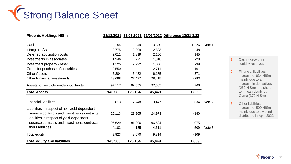

| <b>Phoenix Holdings NISm</b>                  |         |         |         | 31/12/2021 31/03/2021 31/03/2022 Difference 12/21-3/22 |        |
|-----------------------------------------------|---------|---------|---------|--------------------------------------------------------|--------|
|                                               |         |         |         |                                                        |        |
| Cash                                          | 2,154   | 2,249   | 3,380   | 1,226                                                  | Note 1 |
| Intangible Assets                             | 2,775   | 2,299   | 2,823   | 48                                                     |        |
| Deferred acquisition costs                    | 2,011   | 1,819   | 2,156   | 145                                                    |        |
| Investments in associates                     | 1,346   | 771     | 1,318   | $-28$                                                  |        |
| Investment property - other                   | 1,125   | 2,722   | 1,086   | $-39$                                                  |        |
| Credit for purchase of securities             | 2,550   |         | 2,711   | 161                                                    |        |
| <b>Other Assets</b>                           | 5,804   | 5,482   | 6,175   | 371                                                    |        |
| <b>Other Financial Investments</b>            | 28,698  | 27,477  | 28,415  | $-283$                                                 |        |
| Assets for yield-dependent contracts          | 97,117  | 82,335  | 97,385  | 268                                                    |        |
| <b>Total Assets</b>                           | 143,580 | 125,154 | 145,449 | 1,869                                                  |        |
|                                               |         |         |         |                                                        |        |
| <b>Financial liabilities</b>                  | 8,813   | 7,748   | 9,447   | 634                                                    | Note 2 |
|                                               |         |         |         |                                                        |        |
| Liabilities in respect of non-yield-dependent |         |         |         |                                                        |        |
| insurance contracts and investments contracts | 25,113  | 23,905  | 24,973  | $-140$                                                 |        |
| Liabilities in respect of yield-dependent     |         |         |         |                                                        |        |
| insurance contracts and investments contracts | 95,629  | 81,296  | 96,604  | 975                                                    |        |
| <b>Other Liabilities</b>                      | 4,102   | 4,135   | 4,611   | 509                                                    | Note 3 |
| Total equity                                  | 9,923   | 8,070   | 9,814   | $-109$                                                 |        |

- 1. Cash growth in liquidity reserves
- 2. Financial liabilities increase of 634 NISm mainly due to an increase in derivatives (260 NISm) and shortterm loan obtain by Gama (370 NISm)
- 3. Other liabilities increase of 509 NISm mainly due to dividend distributed in April 2022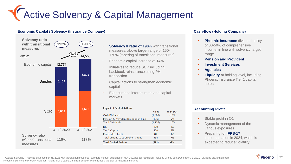# **Y** Active Solvency & Capital Management

#### **Economic Capital / Solvency (Insurance Company)**



- **Solvency II ratio of 190%** with transitional measures, above target range of 150- 170% (tapering of transitional measures)
- Economic capital increase of 14%
- Initiatives to reduce SCR including backbook reinsurance using PHI transaction
- Capital actions to strengthen economic capital
- Exposures to interest rates and capital markets

| <b>NISm</b> | % of SCR |
|-------------|----------|
| (1,000)     | $-13%$   |
| (136)       | $-2%$    |
| (1, 136)    | $-15%$   |
| 200         | 3%       |
| 270         | 4%       |
| 84          | 1%       |
| 554         | 7%       |
| (582)       | $-8%$    |
|             |          |

#### **Cash-flow (Holding Company)**

- **Phoenix Insurance** dividend policy of 30-50% of comprehensive income, in line with solvency target range
- **Pension and Provident**
- **Investment Services**
- **Agencies**
- **Liquidity** at holding level, including Phoenix Insurance Tier 1 capital notes

#### **Accounting Profit**

- Stable profit in Q1
- Dynamic management of the various exposures
- Preparing for **IFRS-17**  implementation in 2024, which is expected to reduce volatility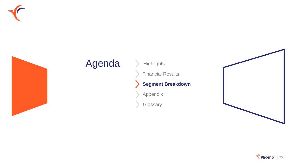



## Agenda > Highlights

Financial Results

#### **Segment Breakdown**  $\blacktriangleright$

Appendix

**Glossary** 



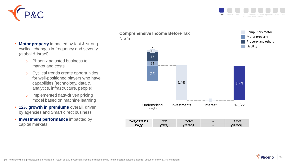



• **Motor property** impacted by fast & strong cyclical changes in frequency and severity (global & Israel)

- o Phoenix adjusted business to market and costs
- o Cyclical trends create opportunities for well-positioned players who have capabilities (technology, data & analytics, infrastructure, people)
- o Implemented data-driven pricing model based on machine learning
- **12% growth in premiums** overall, driven by agencies and Smart direct business
- **Investment performance** impacted by capital markets

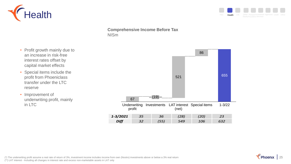



- Profit growth mainly due to an increase in risk-free interest rates offset by capital market effects
- Special items include the profit from Phoeniclass transfer under the LTC reserve
- Improvement of underwriting profit, mainly in LTC



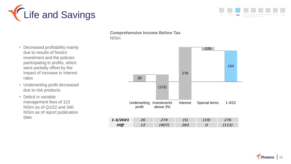



- Decreased profitability mainly due to results of Nostro investment and the policies participating in profits, which were partially offset by the impact of increase in interest rates
- Underwriting profit decreased due to risk products
- Deficit in variable management fees of 113 NISm as of Q1/22 and 340 NISm as of report publication date

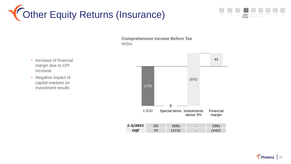



- Increase of financial margin due to CPI increase
- Negative impact of capital markets on investment results

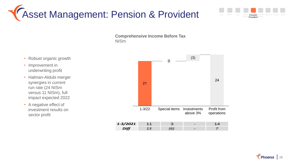## Asset Management: Pension & Provident

- Robust organic growth
- Improvement in underwriting profit
- Halman-Aldubi merger synergies in current run rate (24 NISm versus 11 NISm), full impact expected 2022
- A negative effect of investment results on sector profit



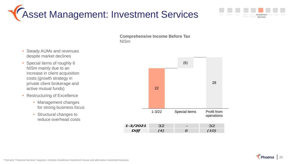Asset Management: Investment Services



- Special items of roughly 6 NISm mainly due to an increase in client acquisition costs (growth strategy in private client brokerage and active mutual funds)
- Restructuring of Excellence
	- Management changes for strong business focus
	- Structural changes to reduce overhead costs



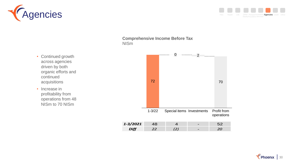



1-3/22  $0$  2 Special items Investments 72 • Continued growth across agencies driven by both organic efforts and continued acquisitions • Increase in profitability from operations from 48 NISm to 70 NISm

| 1-3/2021 |  |  |
|----------|--|--|
|          |  |  |

Profit from operations

70

--------------



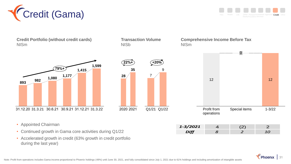

Life Other PensionInvestment Agencies Credit Other P&C Health Life Other Pension Investment Agencies Credit

| <b>Credit Portfolio (without credit cards)</b><br><b>NISm</b> | <b>Transaction Volume</b><br><b>NISb</b> |             | <b>NISm</b> |                           | <b>Comprehensive Income Before Tax</b> |            |
|---------------------------------------------------------------|------------------------------------------|-------------|-------------|---------------------------|----------------------------------------|------------|
|                                                               |                                          |             |             |                           |                                        |            |
| 1,599                                                         | $(22%+)$                                 | $(+20\%)$   |             |                           |                                        |            |
| $79%+$<br>1,415                                               | 35                                       | 9<br>7      |             |                           |                                        |            |
| 1,177<br>1,080<br>982<br>893                                  | 28                                       |             |             | 12                        |                                        | 12         |
|                                                               |                                          |             |             |                           |                                        |            |
| 31.12.20 31.3.21 30.6.21 30.9.21 31.12.21 31.3.22             | 2020 2021                                | Q1/21 Q1/22 |             | Profit from<br>operations | Special items                          | $1 - 3/22$ |
| • Appointed Chairman                                          |                                          |             | 1-3/2021    | $\overline{4}$            | (2)                                    | 2          |

- Continued growth in Gama core activities during Q1/22
- Accelerated growth in credit (63% growth in credit portfolio during the last year)

*Diff 8 2 10*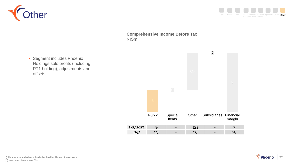



• Segment includes Phoenix Holdings solo profits (including RT1 holding), adjustments and offsets



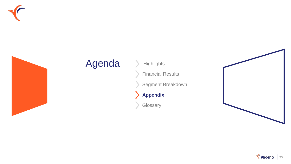



## Agenda > Highlights

Financial Results

Segment Breakdown

**Appendix** $\blacktriangleright$ 

**Glossary** 



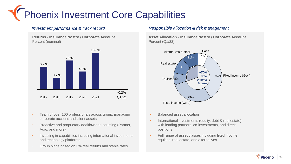

**Returns - Insurance Nostro / Corporate Account** Percent (nominal)



- Team of over 100 professionals across group, managing corporate account and client assets
- Proactive and proprietary dealflow and sourcing (Partner, Acro, and more)
- Investing in capabilities including international investments and technology platforms
- Group plans based on 3% real returns and stable rates

#### *Investment performance & track record Responsible allocation & risk management*

**Asset Allocation - Insurance Nostro / Corporate Account** Percent (Q1/22)



- Balanced asset allocation
- International investments (equity, debt & real estate) with leading partners, co-investments, and direct positions
- Full range of asset classes including fixed income, equities, real estate, and alternatives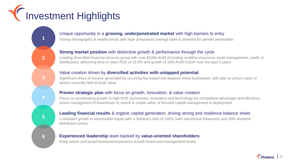# Investment Highlights

### Unique opportunity in a **growing, underpenetrated market** with high barriers to entry

Strong demographic & wealth trends with high compulsory savings rates & potential for greater penetration

### **Strong market position** with distinctive growth & performance through the cycle

Leading diversified financial services group with over \$100b AUM (including multiline insurance, asset management, credit, & distribution), delivering best-in-class ROE of 15.6% and growth of 18% AUM CAGR over the past 5 years

#### Value creation driven by **diversified activities with untapped potential**

Significant share of income generated by recurring fee-based non-balance sheet businesses, with plan to unlock value of assets currently held at book value

### **Proven strategic plan** with focus on growth, innovation, & value creation

Focus on accelerating growth in high ROE businesses, innovation and technology for competitive advantage and efficiency, active management of businesses to unlock & create value, & focused capital management & deployment

### **Leading financial results** & organic capital generation, driving strong and resilience balance sheet

Consistent growth in shareholder equity with a Solvency ratio of 190% (with transitional measures) and 30% dividend distribution policy

#### **Experienced leadership** team backed by **value-oriented shareholders**

Deep sector and broad functional experience at both board and management levels

**5**

**1**

**2**

**3**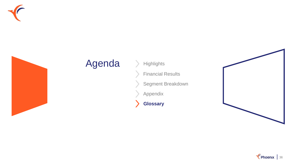



## Agenda > Highlights

Financial Results

Segment Breakdown

Appendix

**Glossary**



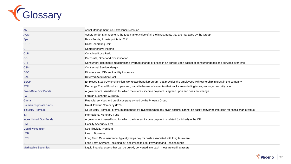

| AM                            | Asset Management; i.e. Excellence Nessuah                                                                                                   |
|-------------------------------|---------------------------------------------------------------------------------------------------------------------------------------------|
| <b>AUM</b>                    | Assets Under Management; the total market value of all the investments that are managed by the Group                                        |
| <b>Bps</b>                    | Basis Points; 1 basis points is .01%                                                                                                        |
| <b>CGU</b>                    | <b>Cost Generating Unit</b>                                                                                                                 |
| <b>CI</b>                     | Comprehensive Income                                                                                                                        |
| <b>CLR</b>                    | <b>Combined Loss Ratio</b>                                                                                                                  |
| CO <sub>.</sub>               | Corporate, Other and Consolidation                                                                                                          |
| <b>CPI</b>                    | Consumer Price Index; measures the average change of prices in an agreed upon basket of consumer goods and services over time               |
| <b>CSM</b>                    | <b>Contractual Service Margin</b>                                                                                                           |
| D&O                           | Directors and Officers Liability Insurance                                                                                                  |
| <b>DAC</b>                    | <b>Deferred Acquisition Cost</b>                                                                                                            |
| <b>ESOP</b>                   | Employee Stock Ownership Plan; workplace benefit program, that provides the employees with ownership interest in the company.               |
| ETF                           | Exchange Traded Fund; an open end, tradable basket of securities that tracks an underling index, sector, or security type                   |
| <b>Fixed-Rate Gov Bonds</b>   | A government issued bond for which the interest income payment is agreed upon and does not change                                           |
| FX.                           | Foreign Exchange Currency                                                                                                                   |
| Gama                          | Financial services and credit company owned by the Phoenix Group                                                                            |
| Halman corporate funds        | Israeli Electric Company (IEC)                                                                                                              |
| <b>Illiquidity Premium</b>    | Or Liquidity Premium; premium demanded by investors when any given security cannot be easily converted into cash for its fair market value. |
| <b>IMF</b>                    | International Monetary Fund                                                                                                                 |
| <b>Index Linked Gov Bonds</b> | A government issued bond for which the interest income payment is related (or linked) to the CPI                                            |
| LAT                           | <b>Liability Adequacy Test</b>                                                                                                              |
| <b>Liquidity Premium</b>      | See Illiquidity Premium                                                                                                                     |
| <b>LOB</b>                    | Line of Business                                                                                                                            |
| <b>LTC</b>                    | Long Term Care insurance; typically helps pay for costs associated with long term care                                                      |
| <b>LTS</b>                    | Long Term Services; including but not limited to Life, Provident and Pension funds                                                          |
| <b>Marketable Securities</b>  | Liquid financial assets that can be quickly converted into cash; most are trading assets                                                    |

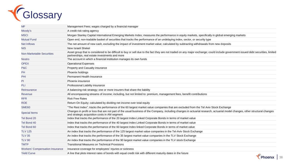

| <b>MF</b>                              | Management Fees; wages charged by a financial manager                                                                                                                                                                               |
|----------------------------------------|-------------------------------------------------------------------------------------------------------------------------------------------------------------------------------------------------------------------------------------|
| Moody's                                | A credit risk rating agency                                                                                                                                                                                                         |
| <b>MSCI</b>                            | Morgan Stanley Capital International Emerging Markets Index; measures the performance in equity markets, specifically in global emerging markets                                                                                    |
| <b>Mutual Fund</b>                     | Open end, non-tradable basket of securities that tracks the performance of an undelaying index, sector, or security type                                                                                                            |
| <b>Net Inflows</b>                     | The net amount of new cash, excluding the impact of investment market value; calculated by subtracting withdrawals from new deposits                                                                                                |
| <b>NIS</b>                             | New Israeli Shekel                                                                                                                                                                                                                  |
| <b>Non-Marketable Securities</b>       | Asset group that is considered to be difficult to buy or sell due to the fact they are not traded on any major exchange; could include government issued debt securities, limited<br>partnerships, real estate investments and more |
| <b>Nostro</b>                          | The account in which a financial institution manages its own funds                                                                                                                                                                  |
| <b>OPEX</b>                            | <b>Operational Expenses</b>                                                                                                                                                                                                         |
| P&C                                    | Property and Casualty insurance                                                                                                                                                                                                     |
| PH                                     | Phoenix holdings                                                                                                                                                                                                                    |
| PHI                                    | Permanent Health Insurance                                                                                                                                                                                                          |
| PI                                     | Phoenix insurance                                                                                                                                                                                                                   |
| PLI                                    | Professional Liability insurance                                                                                                                                                                                                    |
| Reinsurance                            | A balancing risk strategy; one or more insurers that share the liability                                                                                                                                                            |
| <b>Revenue</b>                         | All encompassing streams of income; including, but not limited to: premium, management fees, benefit contributions                                                                                                                  |
| <b>RFR</b>                             | <b>Risk Free Rates</b>                                                                                                                                                                                                              |
| <b>ROE</b>                             | Return On Equity; calculated by dividing net income over total equity                                                                                                                                                               |
| SME <sub>60</sub>                      | "The Rest Index"; tracks the performance of the 60 largest market value companies that are excluded from the Tel Aviv Stock Exchange                                                                                                |
| <b>Special Items</b>                   | Changes in profit or loss that are not part of the usual business of the Company, including changes in actuarial research, actuarial model changes, other structural changes<br>and strategic acquisition costs in AM segment       |
| Tel Bond 20                            | Index that tracks the performance of the 20 largest Index Linked Corporate Bonds in terms of market value                                                                                                                           |
| Tel Bond 40                            | Index that tracks the performance of the 40 largest Index Linked Corporate Bonds in terms of market value                                                                                                                           |
| Tel Bond 60                            | Index that tracks the performance of the 60 largest Index linked Corporate Bonds in terms of market value                                                                                                                           |
| <b>TLV 125</b>                         | An index that tracks the performance of the 125 largest market value companies in the Tel-Aviv Stock Exchange                                                                                                                       |
| <b>TLV 35</b>                          | An index that tracks the performance of the 35 largest market value companies in the TLV Stock Exchange                                                                                                                             |
| <b>TLV 90</b>                          | An index that tracks the performance of the 90 largest market value companies in the TLV stock Exchange                                                                                                                             |
| <b>TMTP</b>                            | <b>Transitional Measures on Technical Provisions</b>                                                                                                                                                                                |
| <b>Workers' Compensation Insurance</b> | Insurance coverage for employees' injuries or sickness                                                                                                                                                                              |
| <b>Yield Curve</b>                     | A line that plots interest rates of bonds with equal credit risk with different maturity dates in the future<br>╭                                                                                                                   |